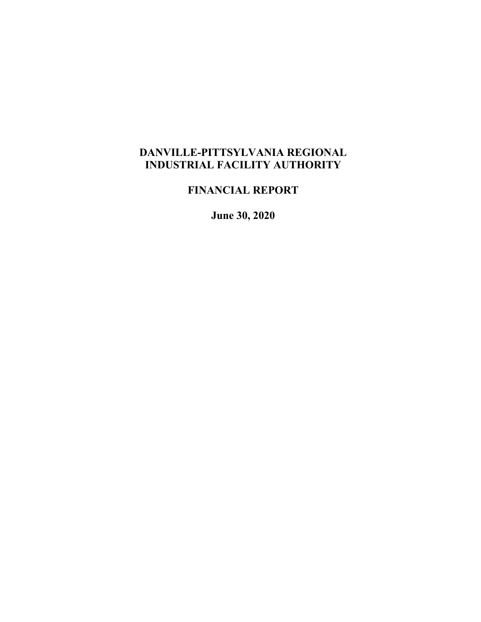# **DANVILLE-PITTSYLVANIA REGIONAL INDUSTRIAL FACILITY AUTHORITY**

**FINANCIAL REPORT**

**June 30, 2020**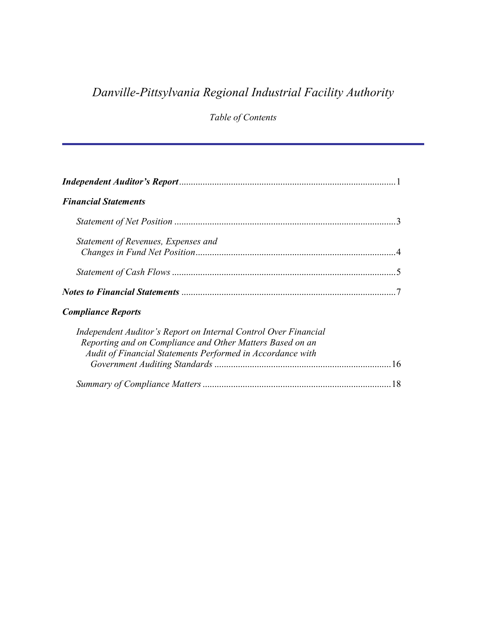# *Danville-Pittsylvania Regional Industrial Facility Authority*

*Table of Contents*

| <b>Financial Statements</b>                                                                                                                                                                |
|--------------------------------------------------------------------------------------------------------------------------------------------------------------------------------------------|
|                                                                                                                                                                                            |
| Statement of Revenues, Expenses and                                                                                                                                                        |
|                                                                                                                                                                                            |
|                                                                                                                                                                                            |
| <b>Compliance Reports</b>                                                                                                                                                                  |
| Independent Auditor's Report on Internal Control Over Financial<br>Reporting and on Compliance and Other Matters Based on an<br>Audit of Financial Statements Performed in Accordance with |
| 18                                                                                                                                                                                         |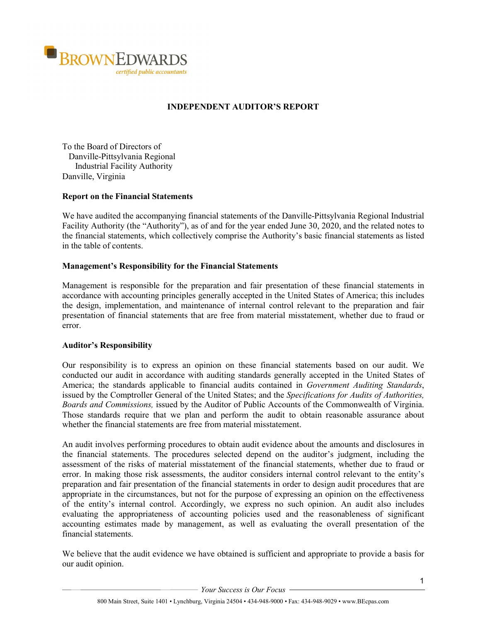

# **INDEPENDENT AUDITOR'S REPORT**

To the Board of Directors of Danville-Pittsylvania Regional Industrial Facility Authority Danville, Virginia

#### **Report on the Financial Statements**

We have audited the accompanying financial statements of the Danville-Pittsylvania Regional Industrial Facility Authority (the "Authority"), as of and for the year ended June 30, 2020, and the related notes to the financial statements, which collectively comprise the Authority's basic financial statements as listed in the table of contents.

#### **Management's Responsibility for the Financial Statements**

Management is responsible for the preparation and fair presentation of these financial statements in accordance with accounting principles generally accepted in the United States of America; this includes the design, implementation, and maintenance of internal control relevant to the preparation and fair presentation of financial statements that are free from material misstatement, whether due to fraud or error.

#### **Auditor's Responsibility**

Our responsibility is to express an opinion on these financial statements based on our audit. We conducted our audit in accordance with auditing standards generally accepted in the United States of America; the standards applicable to financial audits contained in *Government Auditing Standards*, issued by the Comptroller General of the United States; and the *Specifications for Audits of Authorities, Boards and Commissions,* issued by the Auditor of Public Accounts of the Commonwealth of Virginia. Those standards require that we plan and perform the audit to obtain reasonable assurance about whether the financial statements are free from material misstatement.

An audit involves performing procedures to obtain audit evidence about the amounts and disclosures in the financial statements. The procedures selected depend on the auditor's judgment, including the assessment of the risks of material misstatement of the financial statements, whether due to fraud or error. In making those risk assessments, the auditor considers internal control relevant to the entity's preparation and fair presentation of the financial statements in order to design audit procedures that are appropriate in the circumstances, but not for the purpose of expressing an opinion on the effectiveness of the entity's internal control. Accordingly, we express no such opinion. An audit also includes evaluating the appropriateness of accounting policies used and the reasonableness of significant accounting estimates made by management, as well as evaluating the overall presentation of the financial statements.

We believe that the audit evidence we have obtained is sufficient and appropriate to provide a basis for our audit opinion.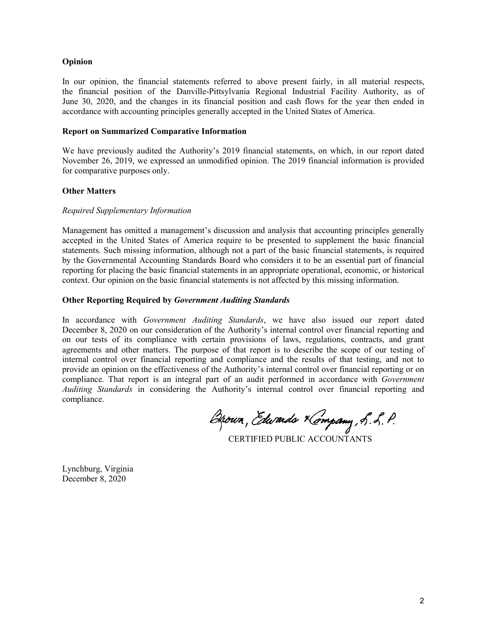#### **Opinion**

In our opinion, the financial statements referred to above present fairly, in all material respects, the financial position of the Danville-Pittsylvania Regional Industrial Facility Authority, as of June 30, 2020, and the changes in its financial position and cash flows for the year then ended in accordance with accounting principles generally accepted in the United States of America.

#### **Report on Summarized Comparative Information**

We have previously audited the Authority's 2019 financial statements, on which, in our report dated November 26, 2019, we expressed an unmodified opinion. The 2019 financial information is provided for comparative purposes only.

#### **Other Matters**

#### *Required Supplementary Information*

Management has omitted a management's discussion and analysis that accounting principles generally accepted in the United States of America require to be presented to supplement the basic financial statements. Such missing information, although not a part of the basic financial statements, is required by the Governmental Accounting Standards Board who considers it to be an essential part of financial reporting for placing the basic financial statements in an appropriate operational, economic, or historical context. Our opinion on the basic financial statements is not affected by this missing information.

#### **Other Reporting Required by** *Government Auditing Standards*

In accordance with *Government Auditing Standards*, we have also issued our report dated December 8, 2020 on our consideration of the Authority's internal control over financial reporting and on our tests of its compliance with certain provisions of laws, regulations, contracts, and grant agreements and other matters. The purpose of that report is to describe the scope of our testing of internal control over financial reporting and compliance and the results of that testing, and not to provide an opinion on the effectiveness of the Authority's internal control over financial reporting or on compliance. That report is an integral part of an audit performed in accordance with *Government Auditing Standards* in considering the Authority's internal control over financial reporting and compliance.

Brown, Edwards & Company, S. L. P.

CERTIFIED PUBLIC ACCOUNTANTS

Lynchburg, Virginia December 8, 2020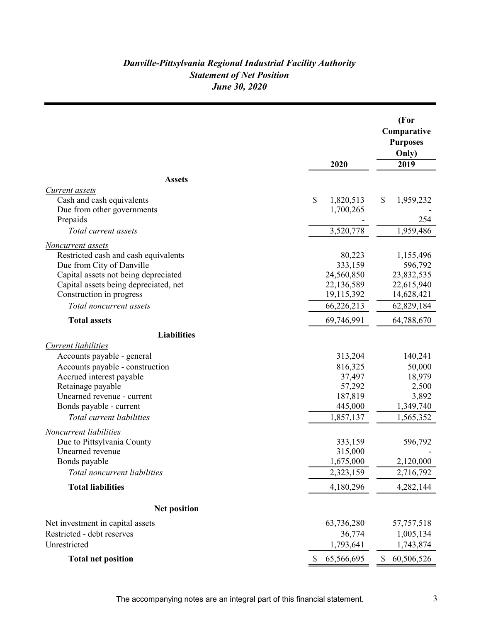# *Danville-Pittsylvania Regional Industrial Facility Authority June 30, 2020 Statement of Net Position*

|                                       | 2020            | (For<br>Comparative<br><b>Purposes</b><br>Only)<br>2019 |
|---------------------------------------|-----------------|---------------------------------------------------------|
| <b>Assets</b>                         |                 |                                                         |
| <b>Current</b> assets                 |                 |                                                         |
| Cash and cash equivalents             | \$<br>1,820,513 | \$<br>1,959,232                                         |
| Due from other governments            | 1,700,265       |                                                         |
| Prepaids                              |                 | 254                                                     |
| Total current assets                  | 3,520,778       | 1,959,486                                               |
| Noncurrent assets                     |                 |                                                         |
| Restricted cash and cash equivalents  | 80,223          | 1,155,496                                               |
| Due from City of Danville             | 333,159         | 596,792                                                 |
| Capital assets not being depreciated  | 24,560,850      | 23,832,535                                              |
| Capital assets being depreciated, net | 22,136,589      | 22,615,940                                              |
| Construction in progress              | 19,115,392      | 14,628,421                                              |
| Total noncurrent assets               | 66,226,213      | 62,829,184                                              |
| <b>Total assets</b>                   | 69,746,991      | 64,788,670                                              |
| <b>Liabilities</b>                    |                 |                                                         |
| <b>Current liabilities</b>            |                 |                                                         |
| Accounts payable - general            | 313,204         | 140,241                                                 |
| Accounts payable - construction       | 816,325         | 50,000                                                  |
| Accrued interest payable              | 37,497          | 18,979                                                  |
| Retainage payable                     | 57,292          | 2,500                                                   |
| Unearned revenue - current            | 187,819         | 3,892                                                   |
| Bonds payable - current               | 445,000         | 1,349,740                                               |
| Total current liabilities             | 1,857,137       | 1,565,352                                               |
| Noncurrent liabilities                |                 |                                                         |
| Due to Pittsylvania County            | 333,159         | 596,792                                                 |
| Unearned revenue                      | 315,000         |                                                         |
| Bonds payable                         | 1,675,000       | 2,120,000                                               |
| Total noncurrent liabilities          | 2,323,159       | 2,716,792                                               |
| <b>Total liabilities</b>              | 4,180,296       | 4,282,144                                               |
| <b>Net position</b>                   |                 |                                                         |
| Net investment in capital assets      | 63,736,280      | 57,757,518                                              |
| Restricted - debt reserves            | 36,774          |                                                         |
| Unrestricted                          | 1,793,641       | 1,005,134                                               |
|                                       |                 | 1,743,874                                               |
| <b>Total net position</b>             | 65,566,695      | 60,506,526<br>\$                                        |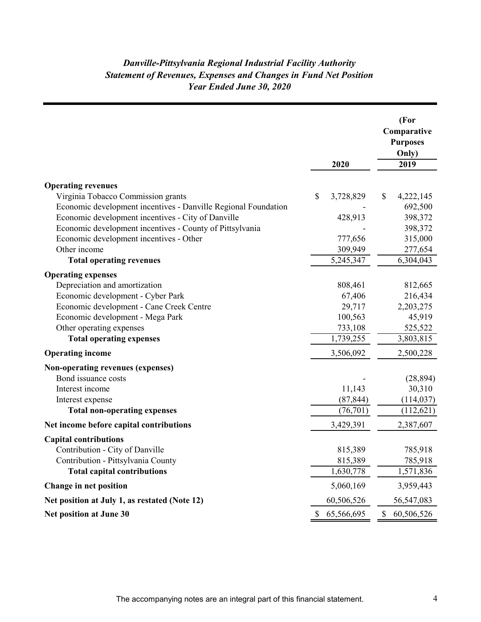# *Year Ended June 30, 2020 Danville-Pittsylvania Regional Industrial Facility Authority Statement of Revenues, Expenses and Changes in Fund Net Position*

|                                                                                                                                                                                                                                                     | 2020                                                           | (For<br>Comparative<br><b>Purposes</b><br>Only)<br>2019           |
|-----------------------------------------------------------------------------------------------------------------------------------------------------------------------------------------------------------------------------------------------------|----------------------------------------------------------------|-------------------------------------------------------------------|
| <b>Operating revenues</b><br>Virginia Tobacco Commission grants<br>Economic development incentives - Danville Regional Foundation<br>Economic development incentives - City of Danville<br>Economic development incentives - County of Pittsylvania | \$<br>3,728,829<br>428,913                                     | \$<br>4,222,145<br>692,500<br>398,372<br>398,372                  |
| Economic development incentives - Other<br>Other income<br><b>Total operating revenues</b>                                                                                                                                                          | 777,656<br>309,949<br>$\overline{5,}245,347$                   | 315,000<br>277,654<br>6,304,043                                   |
| <b>Operating expenses</b><br>Depreciation and amortization<br>Economic development - Cyber Park<br>Economic development - Cane Creek Centre<br>Economic development - Mega Park<br>Other operating expenses<br><b>Total operating expenses</b>      | 808,461<br>67,406<br>29,717<br>100,563<br>733,108<br>1,739,255 | 812,665<br>216,434<br>2,203,275<br>45,919<br>525,522<br>3,803,815 |
| <b>Operating income</b>                                                                                                                                                                                                                             | 3,506,092                                                      | 2,500,228                                                         |
| Non-operating revenues (expenses)<br>Bond issuance costs<br>Interest income<br>Interest expense<br><b>Total non-operating expenses</b>                                                                                                              | 11,143<br>(87, 844)<br>(76, 701)                               | (28, 894)<br>30,310<br>(114, 037)<br>(112, 621)                   |
| Net income before capital contributions                                                                                                                                                                                                             | 3,429,391                                                      | 2,387,607                                                         |
| <b>Capital contributions</b><br>Contribution - City of Danville<br>Contribution - Pittsylvania County<br><b>Total capital contributions</b>                                                                                                         | 815,389<br>815,389<br>1,630,778                                | 785,918<br>785,918<br>1,571,836                                   |
| Change in net position                                                                                                                                                                                                                              | 5,060,169                                                      | 3,959,443                                                         |
| Net position at July 1, as restated (Note 12)<br><b>Net position at June 30</b>                                                                                                                                                                     | 60,506,526<br>65,566,695                                       | 56, 547, 083<br>\$<br>60,506,526                                  |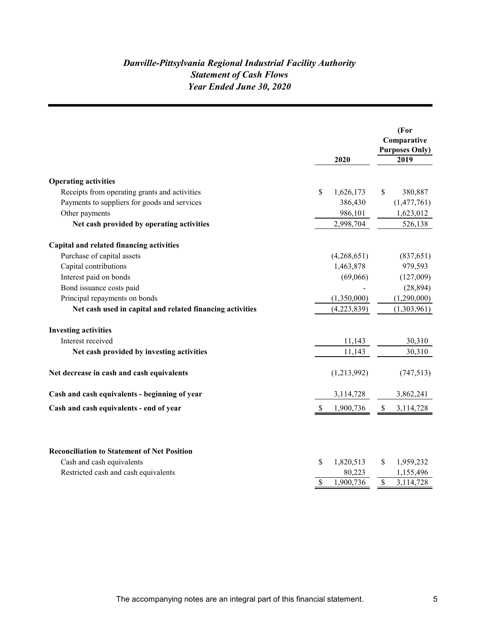# *Danville-Pittsylvania Regional Industrial Facility Authority Year Ended June 30, 2020 Statement of Cash Flows*

|                                                           |                 | (For<br>Comparative<br><b>Purposes Only)</b> |
|-----------------------------------------------------------|-----------------|----------------------------------------------|
|                                                           | 2020            | 2019                                         |
| <b>Operating activities</b>                               |                 |                                              |
| Receipts from operating grants and activities             | \$<br>1,626,173 | \$<br>380,887                                |
| Payments to suppliers for goods and services              | 386,430         | (1,477,761)                                  |
| Other payments                                            | 986,101         | 1,623,012                                    |
| Net cash provided by operating activities                 | 2,998,704       | 526,138                                      |
| Capital and related financing activities                  |                 |                                              |
| Purchase of capital assets                                | (4,268,651)     | (837,651)                                    |
| Capital contributions                                     | 1,463,878       | 979,593                                      |
| Interest paid on bonds                                    | (69,066)        | (127,009)                                    |
| Bond issuance costs paid                                  |                 | (28, 894)                                    |
| Principal repayments on bonds                             | (1,350,000)     | (1,290,000)                                  |
| Net cash used in capital and related financing activities | (4,223,839)     | (1,303,961)                                  |
| <b>Investing activities</b>                               |                 |                                              |
| Interest received                                         | 11,143          | 30,310                                       |
| Net cash provided by investing activities                 | 11,143          | 30,310                                       |
| Net decrease in cash and cash equivalents                 | (1,213,992)     | (747, 513)                                   |
| Cash and cash equivalents - beginning of year             | 3,114,728       | 3,862,241                                    |
| Cash and cash equivalents - end of year                   | 1,900,736<br>\$ | \$<br>3,114,728                              |
| <b>Reconciliation to Statement of Net Position</b>        |                 |                                              |
| Cash and cash equivalents                                 | \$<br>1,820,513 | \$<br>1,959,232                              |
| Restricted cash and cash equivalents                      | 80,223          | 1,155,496                                    |
|                                                           | 1,900,736<br>\$ | \$<br>3,114,728                              |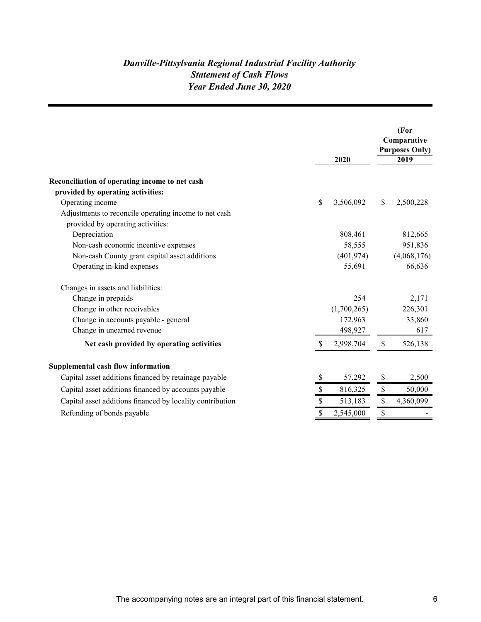# *Danville-Pittsylvania Regional Industrial Facility Authority Year Ended June 30, 2020 Statement of Cash Flows*

|                                                           |                 | (For<br>Comparative<br><b>Purposes Only)</b> |
|-----------------------------------------------------------|-----------------|----------------------------------------------|
|                                                           | 2020            | 2019                                         |
| Reconciliation of operating income to net cash            |                 |                                              |
| provided by operating activities:                         |                 |                                              |
| Operating income                                          | \$<br>3,506,092 | \$<br>2,500,228                              |
| Adjustments to reconcile operating income to net cash     |                 |                                              |
| provided by operating activities:                         |                 |                                              |
| Depreciation                                              | 808,461         | 812,665                                      |
| Non-cash economic incentive expenses                      | 58,555          | 951,836                                      |
| Non-cash County grant capital asset additions             | (401, 974)      | (4,068,176)                                  |
| Operating in-kind expenses                                | 55,691          | 66,636                                       |
| Changes in assets and liabilities:                        |                 |                                              |
| Change in prepaids                                        | 254             | 2,171                                        |
| Change in other receivables                               | (1,700,265)     | 226,301                                      |
| Change in accounts payable - general                      | 172,963         | 33,860                                       |
| Change in unearned revenue                                | 498,927         | 617                                          |
| Net cash provided by operating activities                 | 2,998,704       | \$<br>526,138                                |
| <b>Supplemental cash flow information</b>                 |                 |                                              |
| Capital asset additions financed by retainage payable     | 57,292          | \$<br>2,500                                  |
| Capital asset additions financed by accounts payable      | 816,325         | \$<br>50,000                                 |
| Capital asset additions financed by locality contribution | 513,183         | \$<br>4,360,099                              |
| Refunding of bonds payable                                | \$<br>2,545,000 | \$                                           |
|                                                           |                 |                                              |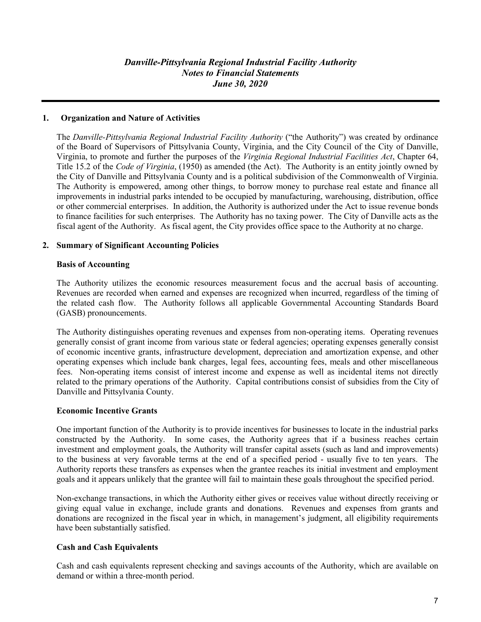# **1. Organization and Nature of Activities**

The *Danville-Pittsylvania Regional Industrial Facility Authority* ("the Authority") was created by ordinance of the Board of Supervisors of Pittsylvania County, Virginia, and the City Council of the City of Danville, Virginia, to promote and further the purposes of the *Virginia Regional Industrial Facilities Act*, Chapter 64, Title 15.2 of the *Code of Virginia*, (1950) as amended (the Act). The Authority is an entity jointly owned by the City of Danville and Pittsylvania County and is a political subdivision of the Commonwealth of Virginia. The Authority is empowered, among other things, to borrow money to purchase real estate and finance all improvements in industrial parks intended to be occupied by manufacturing, warehousing, distribution, office or other commercial enterprises. In addition, the Authority is authorized under the Act to issue revenue bonds to finance facilities for such enterprises. The Authority has no taxing power. The City of Danville acts as the fiscal agent of the Authority. As fiscal agent, the City provides office space to the Authority at no charge.

# **2. Summary of Significant Accounting Policies**

#### **Basis of Accounting**

The Authority utilizes the economic resources measurement focus and the accrual basis of accounting. Revenues are recorded when earned and expenses are recognized when incurred, regardless of the timing of the related cash flow. The Authority follows all applicable Governmental Accounting Standards Board (GASB) pronouncements.

The Authority distinguishes operating revenues and expenses from non-operating items. Operating revenues generally consist of grant income from various state or federal agencies; operating expenses generally consist of economic incentive grants, infrastructure development, depreciation and amortization expense, and other operating expenses which include bank charges, legal fees, accounting fees, meals and other miscellaneous fees. Non-operating items consist of interest income and expense as well as incidental items not directly related to the primary operations of the Authority. Capital contributions consist of subsidies from the City of Danville and Pittsylvania County.

#### **Economic Incentive Grants**

One important function of the Authority is to provide incentives for businesses to locate in the industrial parks constructed by the Authority. In some cases, the Authority agrees that if a business reaches certain investment and employment goals, the Authority will transfer capital assets (such as land and improvements) to the business at very favorable terms at the end of a specified period - usually five to ten years. The Authority reports these transfers as expenses when the grantee reaches its initial investment and employment goals and it appears unlikely that the grantee will fail to maintain these goals throughout the specified period.

Non-exchange transactions, in which the Authority either gives or receives value without directly receiving or giving equal value in exchange, include grants and donations. Revenues and expenses from grants and donations are recognized in the fiscal year in which, in management's judgment, all eligibility requirements have been substantially satisfied.

# **Cash and Cash Equivalents**

Cash and cash equivalents represent checking and savings accounts of the Authority, which are available on demand or within a three-month period.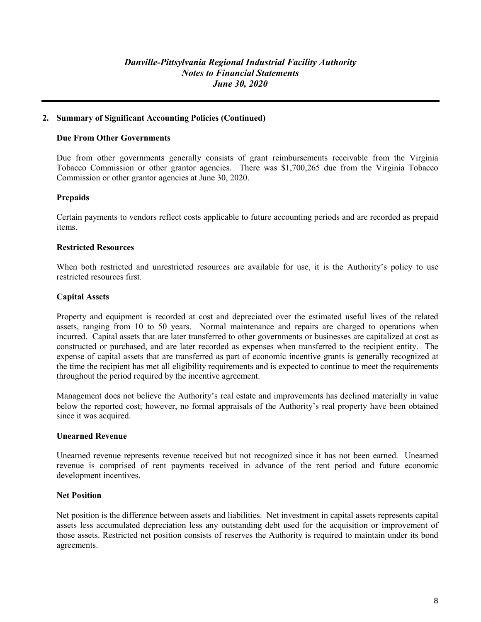#### **2. Summary of Significant Accounting Policies (Continued)**

#### **Due From Other Governments**

Due from other governments generally consists of grant reimbursements receivable from the Virginia Tobacco Commission or other grantor agencies. There was \$1,700,265 due from the Virginia Tobacco Commission or other grantor agencies at June 30, 2020.

# **Prepaids**

Certain payments to vendors reflect costs applicable to future accounting periods and are recorded as prepaid items.

#### **Restricted Resources**

When both restricted and unrestricted resources are available for use, it is the Authority's policy to use restricted resources first.

#### **Capital Assets**

Property and equipment is recorded at cost and depreciated over the estimated useful lives of the related assets, ranging from 10 to 50 years. Normal maintenance and repairs are charged to operations when incurred. Capital assets that are later transferred to other governments or businesses are capitalized at cost as constructed or purchased, and are later recorded as expenses when transferred to the recipient entity. The expense of capital assets that are transferred as part of economic incentive grants is generally recognized at the time the recipient has met all eligibility requirements and is expected to continue to meet the requirements throughout the period required by the incentive agreement.

Management does not believe the Authority's real estate and improvements has declined materially in value below the reported cost; however, no formal appraisals of the Authority's real property have been obtained since it was acquired.

### **Unearned Revenue**

Unearned revenue represents revenue received but not recognized since it has not been earned. Unearned revenue is comprised of rent payments received in advance of the rent period and future economic development incentives.

#### **Net Position**

Net position is the difference between assets and liabilities. Net investment in capital assets represents capital assets less accumulated depreciation less any outstanding debt used for the acquisition or improvement of those assets. Restricted net position consists of reserves the Authority is required to maintain under its bond agreements.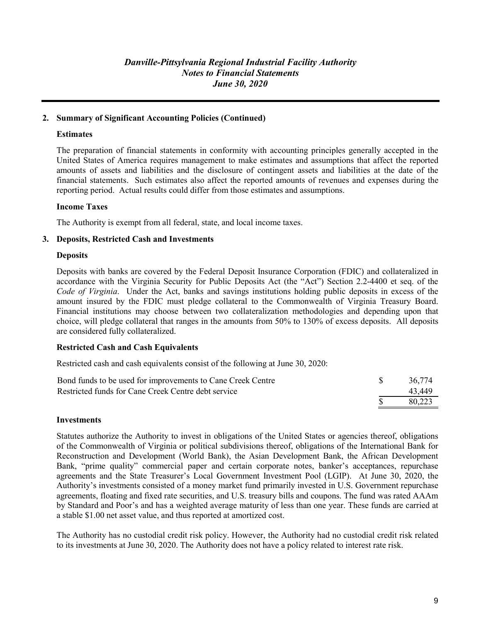# **2. Summary of Significant Accounting Policies (Continued)**

# **Estimates**

The preparation of financial statements in conformity with accounting principles generally accepted in the United States of America requires management to make estimates and assumptions that affect the reported amounts of assets and liabilities and the disclosure of contingent assets and liabilities at the date of the financial statements. Such estimates also affect the reported amounts of revenues and expenses during the reporting period. Actual results could differ from those estimates and assumptions.

#### **Income Taxes**

The Authority is exempt from all federal, state, and local income taxes.

#### **3. Deposits, Restricted Cash and Investments**

#### **Deposits**

Deposits with banks are covered by the Federal Deposit Insurance Corporation (FDIC) and collateralized in accordance with the Virginia Security for Public Deposits Act (the "Act") Section 2.2-4400 et seq. of the *Code of Virginia*. Under the Act, banks and savings institutions holding public deposits in excess of the amount insured by the FDIC must pledge collateral to the Commonwealth of Virginia Treasury Board. Financial institutions may choose between two collateralization methodologies and depending upon that choice, will pledge collateral that ranges in the amounts from 50% to 130% of excess deposits. All deposits are considered fully collateralized.

# **Restricted Cash and Cash Equivalents**

Restricted cash and cash equivalents consist of the following at June 30, 2020:

| Bond funds to be used for improvements to Cane Creek Centre | 36.774 |
|-------------------------------------------------------------|--------|
| Restricted funds for Cane Creek Centre debt service         | 43.449 |
|                                                             | 80,223 |

#### **Investments**

Statutes authorize the Authority to invest in obligations of the United States or agencies thereof, obligations of the Commonwealth of Virginia or political subdivisions thereof, obligations of the International Bank for Reconstruction and Development (World Bank), the Asian Development Bank, the African Development Bank, "prime quality" commercial paper and certain corporate notes, banker's acceptances, repurchase agreements and the State Treasurer's Local Government Investment Pool (LGIP). At June 30, 2020, the Authority's investments consisted of a money market fund primarily invested in U.S. Government repurchase agreements, floating and fixed rate securities, and U.S. treasury bills and coupons. The fund was rated AAAm by Standard and Poor's and has a weighted average maturity of less than one year. These funds are carried at a stable \$1.00 net asset value, and thus reported at amortized cost.

The Authority has no custodial credit risk policy. However, the Authority had no custodial credit risk related to its investments at June 30, 2020. The Authority does not have a policy related to interest rate risk.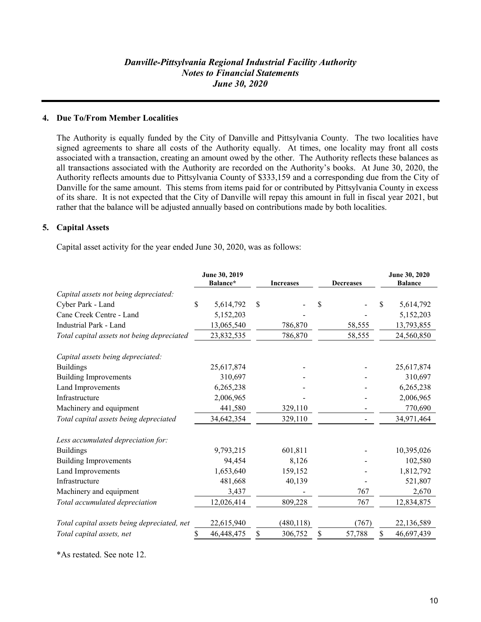#### **4. Due To/From Member Localities**

The Authority is equally funded by the City of Danville and Pittsylvania County. The two localities have signed agreements to share all costs of the Authority equally. At times, one locality may front all costs associated with a transaction, creating an amount owed by the other. The Authority reflects these balances as all transactions associated with the Authority are recorded on the Authority's books. At June 30, 2020, the Authority reflects amounts due to Pittsylvania County of \$333,159 and a corresponding due from the City of Danville for the same amount. This stems from items paid for or contributed by Pittsylvania County in excess of its share. It is not expected that the City of Danville will repay this amount in full in fiscal year 2021, but rather that the balance will be adjusted annually based on contributions made by both localities.

#### **5. Capital Assets**

Capital asset activity for the year ended June 30, 2020, was as follows:

|                                             |    | June 30, 2019<br>Balance* | <b>Increases</b> |    | <b>Decreases</b> | June 30, 2020<br><b>Balance</b> |
|---------------------------------------------|----|---------------------------|------------------|----|------------------|---------------------------------|
| Capital assets not being depreciated:       |    |                           |                  |    |                  |                                 |
| Cyber Park - Land                           | \$ | 5,614,792                 | \$               | S  |                  | \$<br>5,614,792                 |
| Cane Creek Centre - Land                    |    | 5,152,203                 |                  |    |                  | 5,152,203                       |
| Industrial Park - Land                      |    | 13,065,540                | 786,870          |    | 58,555           | 13,793,855                      |
| Total capital assets not being depreciated  |    | 23,832,535                | 786,870          |    | 58,555           | 24,560,850                      |
| Capital assets being depreciated:           |    |                           |                  |    |                  |                                 |
| <b>Buildings</b>                            |    | 25,617,874                |                  |    |                  | 25,617,874                      |
| <b>Building Improvements</b>                |    | 310,697                   |                  |    |                  | 310,697                         |
| Land Improvements                           |    | 6,265,238                 |                  |    |                  | 6,265,238                       |
| Infrastructure                              |    | 2,006,965                 |                  |    |                  | 2,006,965                       |
| Machinery and equipment                     |    | 441,580                   | 329,110          |    |                  | 770,690                         |
| Total capital assets being depreciated      |    | 34,642,354                | 329,110          |    |                  | 34,971,464                      |
| Less accumulated depreciation for:          |    |                           |                  |    |                  |                                 |
| <b>Buildings</b>                            |    | 9,793,215                 | 601,811          |    |                  | 10,395,026                      |
| <b>Building Improvements</b>                |    | 94,454                    | 8,126            |    |                  | 102,580                         |
| Land Improvements                           |    | 1,653,640                 | 159,152          |    |                  | 1,812,792                       |
| Infrastructure                              |    | 481,668                   | 40,139           |    |                  | 521,807                         |
| Machinery and equipment                     |    | 3,437                     |                  |    | 767              | 2,670                           |
| Total accumulated depreciation              |    | 12,026,414                | 809,228          |    | 767              | 12,834,875                      |
| Total capital assets being depreciated, net |    | 22,615,940                | (480, 118)       |    | (767)            | 22,136,589                      |
| Total capital assets, net                   | S  | 46,448,475                | \$<br>306,752    | \$ | 57,788           | \$<br>46,697,439                |

\*As restated. See note 12.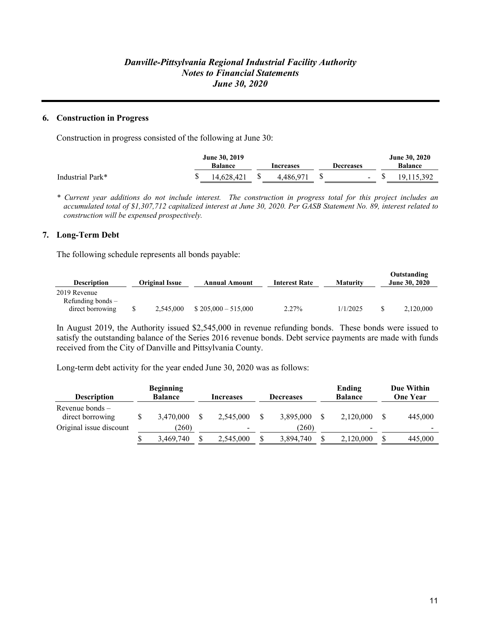### **6. Construction in Progress**

Construction in progress consisted of the following at June 30:

|                  | June 30, 2019  |  |                  |  |                  | June 30, 2020 |                |  |
|------------------|----------------|--|------------------|--|------------------|---------------|----------------|--|
|                  | <b>Balance</b> |  | <b>Increases</b> |  | <b>Decreases</b> |               | <b>Balance</b> |  |
| Industrial Park* | 14,628,421     |  | 4.486.971        |  | $\sim$           | Φ             | 19.115.392     |  |

*\* Current year additions do not include interest. The construction in progress total for this project includes an accumulated total of \$1,307,712 capitalized interest at June 30, 2020. Per GASB Statement No. 89, interest related to construction will be expensed prospectively.*

#### **7. Long-Term Debt**

The following schedule represents all bonds payable:

| <b>Original Issue</b><br><b>Description</b> |  | <b>Annual Amount</b> | <b>Interest Rate</b> | <b>Maturity</b> | <b>Outstanding</b><br><b>June 30, 2020</b> |           |  |
|---------------------------------------------|--|----------------------|----------------------|-----------------|--------------------------------------------|-----------|--|
| 2019 Revenue<br>Refunding bonds $-$         |  |                      |                      |                 |                                            |           |  |
| direct borrowing                            |  | 2.545,000            | $$205,000 - 515,000$ | $2.27\%$        | 1/1/2025                                   | 2.120,000 |  |

In August 2019, the Authority issued \$2,545,000 in revenue refunding bonds. These bonds were issued to satisfy the outstanding balance of the Series 2016 revenue bonds. Debt service payments are made with funds received from the City of Danville and Pittsylvania County.

Long-term debt activity for the year ended June 30, 2020 was as follows:

| <b>Beginning</b><br><b>Balance</b><br><b>Description</b> |    |           | Increases    |           | <b>Decreases</b> |           | Ending<br><b>Balance</b> |           | Due Within<br><b>One Year</b> |         |
|----------------------------------------------------------|----|-----------|--------------|-----------|------------------|-----------|--------------------------|-----------|-------------------------------|---------|
| Revenue bonds $-$<br>direct borrowing                    | \$ | 3.470.000 | <sup>S</sup> | 2.545,000 | \$               | 3.895.000 |                          | 2.120,000 | S                             | 445,000 |
| Original issue discount                                  |    | (260)     |              |           |                  | (260)     |                          | ۰         |                               |         |
|                                                          |    | 3,469,740 |              | 2,545,000 |                  | 3,894,740 |                          | 2,120,000 |                               | 445,000 |

**Outstanding**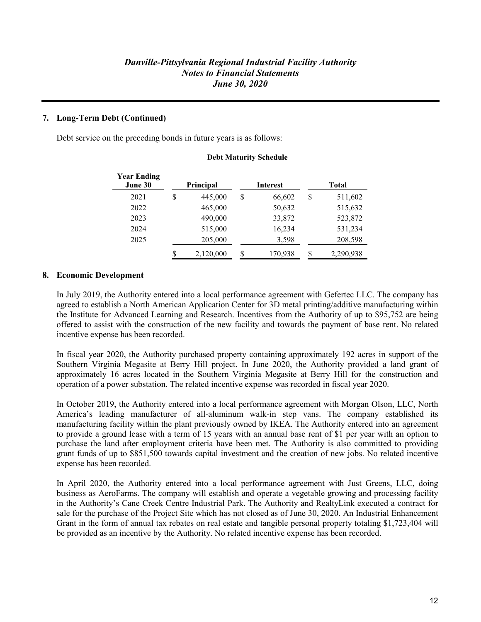# **7. Long-Term Debt (Continued)**

Debt service on the preceding bonds in future years is as follows:

| <b>Year Ending</b><br>June 30 |   | <b>Principal</b> |    | Interest |    | <b>Total</b> |
|-------------------------------|---|------------------|----|----------|----|--------------|
| 2021                          | S | 445,000          | \$ | 66,602   | \$ | 511,602      |
| 2022                          |   | 465,000          |    | 50,632   |    | 515,632      |
| 2023                          |   | 490,000          |    | 33,872   |    | 523,872      |
| 2024                          |   | 515,000          |    | 16,234   |    | 531,234      |
| 2025                          |   | 205,000          |    | 3,598    |    | 208,598      |
|                               | S | 2,120,000        | S  | 170,938  | S  | 2,290,938    |

# **Debt Maturity Schedule**

#### **8. Economic Development**

In July 2019, the Authority entered into a local performance agreement with Gefertec LLC. The company has agreed to establish a North American Application Center for 3D metal printing/additive manufacturing within the Institute for Advanced Learning and Research. Incentives from the Authority of up to \$95,752 are being offered to assist with the construction of the new facility and towards the payment of base rent. No related incentive expense has been recorded.

In fiscal year 2020, the Authority purchased property containing approximately 192 acres in support of the Southern Virginia Megasite at Berry Hill project. In June 2020, the Authority provided a land grant of approximately 16 acres located in the Southern Virginia Megasite at Berry Hill for the construction and operation of a power substation. The related incentive expense was recorded in fiscal year 2020.

In October 2019, the Authority entered into a local performance agreement with Morgan Olson, LLC, North America's leading manufacturer of all-aluminum walk-in step vans. The company established its manufacturing facility within the plant previously owned by IKEA. The Authority entered into an agreement to provide a ground lease with a term of 15 years with an annual base rent of \$1 per year with an option to purchase the land after employment criteria have been met. The Authority is also committed to providing grant funds of up to \$851,500 towards capital investment and the creation of new jobs. No related incentive expense has been recorded.

In April 2020, the Authority entered into a local performance agreement with Just Greens, LLC, doing business as AeroFarms. The company will establish and operate a vegetable growing and processing facility in the Authority's Cane Creek Centre Industrial Park. The Authority and RealtyLink executed a contract for sale for the purchase of the Project Site which has not closed as of June 30, 2020. An Industrial Enhancement Grant in the form of annual tax rebates on real estate and tangible personal property totaling \$1,723,404 will be provided as an incentive by the Authority. No related incentive expense has been recorded.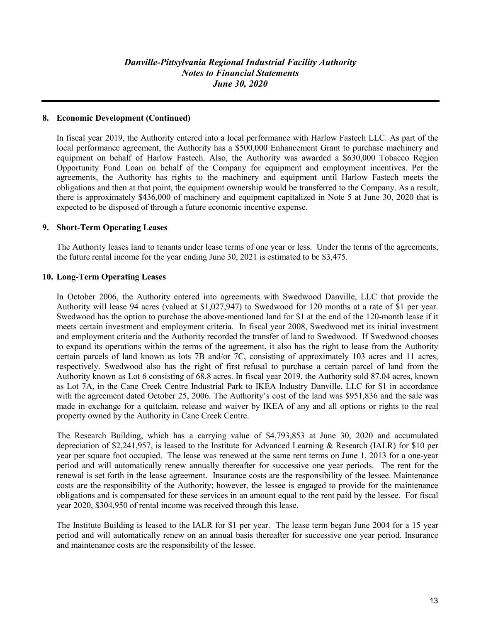#### **8. Economic Development (Continued)**

In fiscal year 2019, the Authority entered into a local performance with Harlow Fastech LLC. As part of the local performance agreement, the Authority has a \$500,000 Enhancement Grant to purchase machinery and equipment on behalf of Harlow Fastech. Also, the Authority was awarded a \$630,000 Tobacco Region Opportunity Fund Loan on behalf of the Company for equipment and employment incentives. Per the agreements, the Authority has rights to the machinery and equipment until Harlow Fastech meets the obligations and then at that point, the equipment ownership would be transferred to the Company. As a result, there is approximately \$436,000 of machinery and equipment capitalized in Note 5 at June 30, 2020 that is expected to be disposed of through a future economic incentive expense.

#### **9. Short-Term Operating Leases**

The Authority leases land to tenants under lease terms of one year or less. Under the terms of the agreements, the future rental income for the year ending June 30, 2021 is estimated to be \$3,475.

#### **10. Long-Term Operating Leases**

In October 2006, the Authority entered into agreements with Swedwood Danville, LLC that provide the Authority will lease 94 acres (valued at \$1,027,947) to Swedwood for 120 months at a rate of \$1 per year. Swedwood has the option to purchase the above-mentioned land for \$1 at the end of the 120-month lease if it meets certain investment and employment criteria. In fiscal year 2008, Swedwood met its initial investment and employment criteria and the Authority recorded the transfer of land to Swedwood. If Swedwood chooses to expand its operations within the terms of the agreement, it also has the right to lease from the Authority certain parcels of land known as lots 7B and/or 7C, consisting of approximately 103 acres and 11 acres, respectively. Swedwood also has the right of first refusal to purchase a certain parcel of land from the Authority known as Lot 6 consisting of 68.8 acres. In fiscal year 2019, the Authority sold 87.04 acres, known as Lot 7A, in the Cane Creek Centre Industrial Park to IKEA Industry Danville, LLC for \$1 in accordance with the agreement dated October 25, 2006. The Authority's cost of the land was \$951,836 and the sale was made in exchange for a quitclaim, release and waiver by IKEA of any and all options or rights to the real property owned by the Authority in Cane Creek Centre.

The Research Building, which has a carrying value of \$4,793,853 at June 30, 2020 and accumulated depreciation of \$2,241,957, is leased to the Institute for Advanced Learning & Research (IALR) for \$10 per year per square foot occupied. The lease was renewed at the same rent terms on June 1, 2013 for a one-year period and will automatically renew annually thereafter for successive one year periods. The rent for the renewal is set forth in the lease agreement. Insurance costs are the responsibility of the lessee. Maintenance costs are the responsibility of the Authority; however, the lessee is engaged to provide for the maintenance obligations and is compensated for these services in an amount equal to the rent paid by the lessee. For fiscal year 2020, \$304,950 of rental income was received through this lease.

The Institute Building is leased to the IALR for \$1 per year. The lease term began June 2004 for a 15 year period and will automatically renew on an annual basis thereafter for successive one year period. Insurance and maintenance costs are the responsibility of the lessee.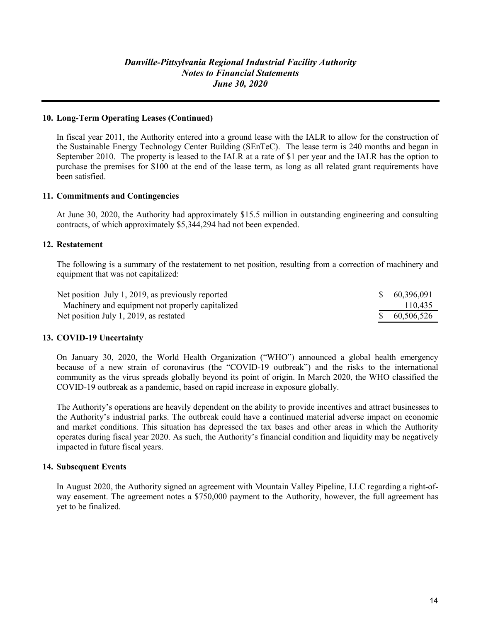#### **10. Long-Term Operating Leases (Continued)**

In fiscal year 2011, the Authority entered into a ground lease with the IALR to allow for the construction of the Sustainable Energy Technology Center Building (SEnTeC). The lease term is 240 months and began in September 2010. The property is leased to the IALR at a rate of \$1 per year and the IALR has the option to purchase the premises for \$100 at the end of the lease term, as long as all related grant requirements have been satisfied.

# **11. Commitments and Contingencies**

At June 30, 2020, the Authority had approximately \$15.5 million in outstanding engineering and consulting contracts, of which approximately \$5,344,294 had not been expended.

# **12. Restatement**

The following is a summary of the restatement to net position, resulting from a correction of machinery and equipment that was not capitalized:

| Net position July 1, 2019, as previously reported | \$60,396,091 |
|---------------------------------------------------|--------------|
| Machinery and equipment not properly capitalized  | 110.435      |
| Net position July 1, 2019, as restated            | \$60,506,526 |

# **13. COVID-19 Uncertainty**

On January 30, 2020, the World Health Organization ("WHO") announced a global health emergency because of a new strain of coronavirus (the "COVID-19 outbreak") and the risks to the international community as the virus spreads globally beyond its point of origin. In March 2020, the WHO classified the COVID-19 outbreak as a pandemic, based on rapid increase in exposure globally.

The Authority's operations are heavily dependent on the ability to provide incentives and attract businesses to the Authority's industrial parks. The outbreak could have a continued material adverse impact on economic and market conditions. This situation has depressed the tax bases and other areas in which the Authority operates during fiscal year 2020. As such, the Authority's financial condition and liquidity may be negatively impacted in future fiscal years.

# **14. Subsequent Events**

In August 2020, the Authority signed an agreement with Mountain Valley Pipeline, LLC regarding a right-ofway easement. The agreement notes a \$750,000 payment to the Authority, however, the full agreement has yet to be finalized.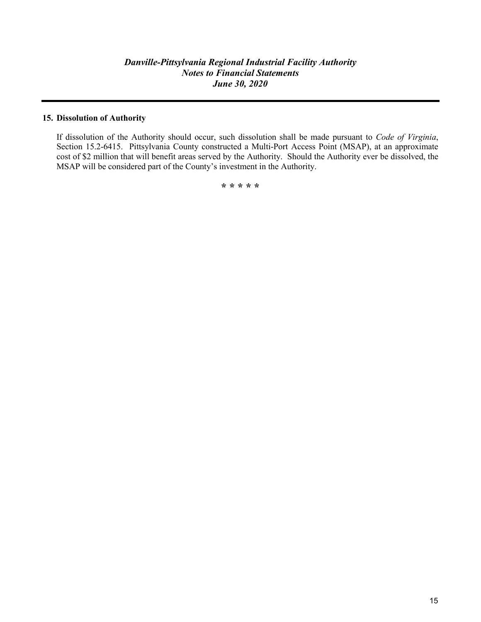### **15. Dissolution of Authority**

If dissolution of the Authority should occur, such dissolution shall be made pursuant to *Code of Virginia*, Section 15.2-6415. Pittsylvania County constructed a Multi-Port Access Point (MSAP), at an approximate cost of \$2 million that will benefit areas served by the Authority. Should the Authority ever be dissolved, the MSAP will be considered part of the County's investment in the Authority.

**\* \* \* \* \***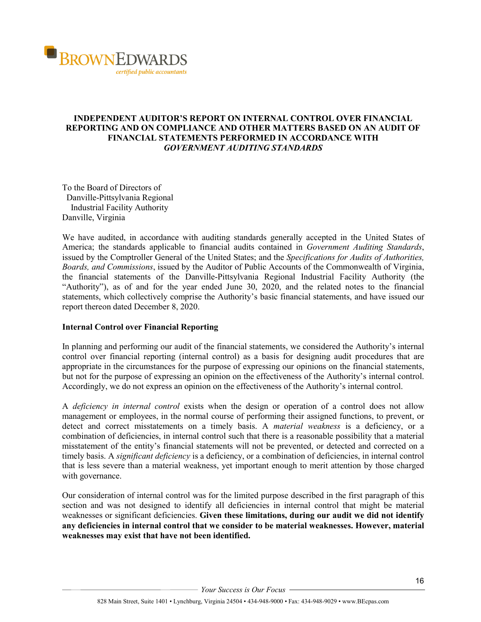

# **INDEPENDENT AUDITOR'S REPORT ON INTERNAL CONTROL OVER FINANCIAL REPORTING AND ON COMPLIANCE AND OTHER MATTERS BASED ON AN AUDIT OF FINANCIAL STATEMENTS PERFORMED IN ACCORDANCE WITH** *GOVERNMENT AUDITING STANDARDS*

To the Board of Directors of Danville-Pittsylvania Regional Industrial Facility Authority Danville, Virginia

We have audited, in accordance with auditing standards generally accepted in the United States of America; the standards applicable to financial audits contained in *Government Auditing Standards*, issued by the Comptroller General of the United States; and the *Specifications for Audits of Authorities, Boards, and Commissions*, issued by the Auditor of Public Accounts of the Commonwealth of Virginia, the financial statements of the Danville-Pittsylvania Regional Industrial Facility Authority (the "Authority"), as of and for the year ended June 30, 2020, and the related notes to the financial statements, which collectively comprise the Authority's basic financial statements, and have issued our report thereon dated December 8, 2020.

#### **Internal Control over Financial Reporting**

In planning and performing our audit of the financial statements, we considered the Authority's internal control over financial reporting (internal control) as a basis for designing audit procedures that are appropriate in the circumstances for the purpose of expressing our opinions on the financial statements, but not for the purpose of expressing an opinion on the effectiveness of the Authority's internal control. Accordingly, we do not express an opinion on the effectiveness of the Authority's internal control.

A *deficiency in internal control* exists when the design or operation of a control does not allow management or employees, in the normal course of performing their assigned functions, to prevent, or detect and correct misstatements on a timely basis. A *material weakness* is a deficiency, or a combination of deficiencies, in internal control such that there is a reasonable possibility that a material misstatement of the entity's financial statements will not be prevented, or detected and corrected on a timely basis. A *significant deficiency* is a deficiency, or a combination of deficiencies, in internal control that is less severe than a material weakness, yet important enough to merit attention by those charged with governance.

Our consideration of internal control was for the limited purpose described in the first paragraph of this section and was not designed to identify all deficiencies in internal control that might be material weaknesses or significant deficiencies. **Given these limitations, during our audit we did not identify any deficiencies in internal control that we consider to be material weaknesses. However, material weaknesses may exist that have not been identified.**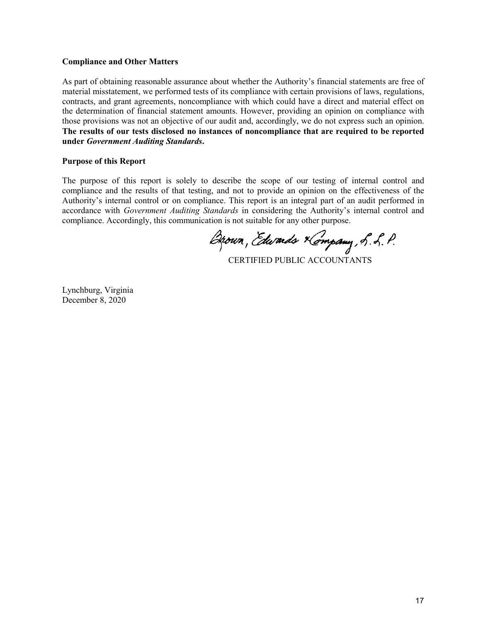#### **Compliance and Other Matters**

As part of obtaining reasonable assurance about whether the Authority's financial statements are free of material misstatement, we performed tests of its compliance with certain provisions of laws, regulations, contracts, and grant agreements, noncompliance with which could have a direct and material effect on the determination of financial statement amounts. However, providing an opinion on compliance with those provisions was not an objective of our audit and, accordingly, we do not express such an opinion. **The results of our tests disclosed no instances of noncompliance that are required to be reported under** *Government Auditing Standards***.** 

#### **Purpose of this Report**

The purpose of this report is solely to describe the scope of our testing of internal control and compliance and the results of that testing, and not to provide an opinion on the effectiveness of the Authority's internal control or on compliance. This report is an integral part of an audit performed in accordance with *Government Auditing Standards* in considering the Authority's internal control and compliance. Accordingly, this communication is not suitable for any other purpose.

Brown, Edwards & Company, S. L. P.

CERTIFIED PUBLIC ACCOUNTANTS

Lynchburg, Virginia December 8, 2020